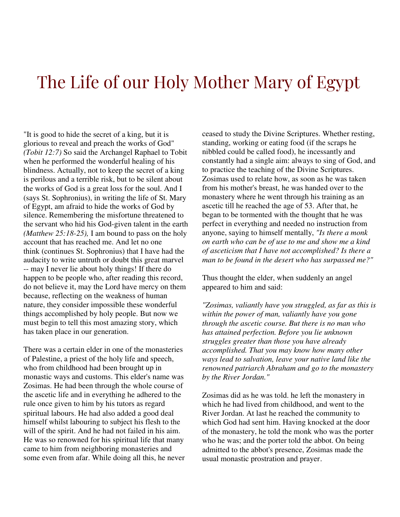# The Life of our Holy Mother Mary of Egypt

"It is good to hide the secret of a king, but it is glorious to reveal and preach the works of God" *(Tobit 12:7)* So said the Archangel Raphael to Tobit when he performed the wonderful healing of his blindness. Actually, not to keep the secret of a king is perilous and a terrible risk, but to be silent about the works of God is a great loss for the soul. And I (says St. Sophronius), in writing the life of St. Mary of Egypt, am afraid to hide the works of God by silence. Remembering the misfortune threatened to the servant who hid his God-given talent in the earth *(Matthew 25:18-25),* I am bound to pass on the holy account that has reached me. And let no one think (continues St. Sophronius) that I have had the audacity to write untruth or doubt this great marvel -- may I never lie about holy things! If there do happen to be people who, after reading this record, do not believe it, may the Lord have mercy on them because, reflecting on the weakness of human nature, they consider impossible these wonderful things accomplished by holy people. But now we must begin to tell this most amazing story, which has taken place in our generation.

There was a certain elder in one of the monasteries of Palestine, a priest of the holy life and speech, who from childhood had been brought up in monastic ways and customs. This elder's name was Zosimas. He had been through the whole course of the ascetic life and in everything he adhered to the rule once given to him by his tutors as regard spiritual labours. He had also added a good deal himself whilst labouring to subject his flesh to the will of the spirit. And he had not failed in his aim. He was so renowned for his spiritual life that many came to him from neighboring monasteries and some even from afar. While doing all this, he never ceased to study the Divine Scriptures. Whether resting, standing, working or eating food (if the scraps he nibbled could be called food), he incessantly and constantly had a single aim: always to sing of God, and to practice the teaching of the Divine Scriptures. Zosimas used to relate how, as soon as he was taken from his mother's breast, he was handed over to the monastery where he went through his training as an ascetic till he reached the age of 53. After that, he began to be tormented with the thought that he was perfect in everything and needed no instruction from anyone, saying to himself mentally, *"Is there a monk on earth who can be of use to me and show me a kind of asceticism that I have not accomplished? Is there a man to be found in the desert who has surpassed me?"*

Thus thought the elder, when suddenly an angel appeared to him and said:

*"Zosimas, valiantly have you struggled, as far as this is within the power of man, valiantly have you gone through the ascetic course. But there is no man who has attained perfection. Before you lie unknown struggles greater than those you have already accomplished. That you may know how many other ways lead to salvation, leave your native land like the renowned patriarch Abraham and go to the monastery by the River Jordan."*

Zosimas did as he was told. he left the monastery in which he had lived from childhood, and went to the River Jordan. At last he reached the community to which God had sent him. Having knocked at the door of the monastery, he told the monk who was the porter who he was; and the porter told the abbot. On being admitted to the abbot's presence, Zosimas made the usual monastic prostration and prayer.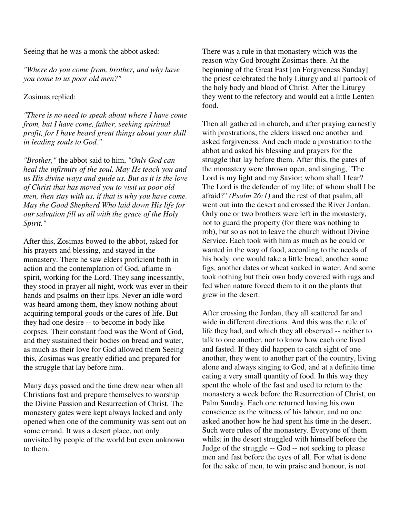Seeing that he was a monk the abbot asked:

*"Where do you come from, brother, and why have you come to us poor old men?"*

#### Zosimas replied:

*"There is no need to speak about where I have come from, but I have come, father, seeking spiritual profit, for I have heard great things about your skill in leading souls to God."*

*"Brother,"* the abbot said to him, *"Only God can heal the infirmity of the soul. May He teach you and us His divine ways and guide us. But as it is the love of Christ that has moved you to visit us poor old men, then stay with us, if that is why you have come. May the Good Shepherd Who laid down His life for our salvation fill us all with the grace of the Holy Spirit."*

After this, Zosimas bowed to the abbot, asked for his prayers and blessing, and stayed in the monastery. There he saw elders proficient both in action and the contemplation of God, aflame in spirit, working for the Lord. They sang incessantly, they stood in prayer all night, work was ever in their hands and psalms on their lips. Never an idle word was heard among them, they know nothing about acquiring temporal goods or the cares of life. But they had one desire -- to become in body like corpses. Their constant food was the Word of God, and they sustained their bodies on bread and water, as much as their love for God allowed them Seeing this, Zosimas was greatly edified and prepared for the struggle that lay before him.

Many days passed and the time drew near when all Christians fast and prepare themselves to worship the Divine Passion and Resurrection of Christ. The monastery gates were kept always locked and only opened when one of the community was sent out on some errand. It was a desert place, not only unvisited by people of the world but even unknown to them.

There was a rule in that monastery which was the reason why God brought Zosimas there. At the beginning of the Great Fast [on Forgiveness Sunday] the priest celebrated the holy Liturgy and all partook of the holy body and blood of Christ. After the Liturgy they went to the refectory and would eat a little Lenten food.

Then all gathered in church, and after praying earnestly with prostrations, the elders kissed one another and asked forgiveness. And each made a prostration to the abbot and asked his blessing and prayers for the struggle that lay before them. After this, the gates of the monastery were thrown open, and singing, "The Lord is my light and my Savior; whom shall I fear? The Lord is the defender of my life; of whom shall I be afraid?" *(Psalm 26:1)* and the rest of that psalm, all went out into the desert and crossed the River Jordan. Only one or two brothers were left in the monastery, not to guard the property (for there was nothing to rob), but so as not to leave the church without Divine Service. Each took with him as much as he could or wanted in the way of food, according to the needs of his body: one would take a little bread, another some figs, another dates or wheat soaked in water. And some took nothing but their own body covered with rags and fed when nature forced them to it on the plants that grew in the desert.

After crossing the Jordan, they all scattered far and wide in different directions. And this was the rule of life they had, and which they all observed -- neither to talk to one another, nor to know how each one lived and fasted. If they did happen to catch sight of one another, they went to another part of the country, living alone and always singing to God, and at a definite time eating a very small quantity of food. In this way they spent the whole of the fast and used to return to the monastery a week before the Resurrection of Christ, on Palm Sunday. Each one returned having his own conscience as the witness of his labour, and no one asked another how he had spent his time in the desert. Such were rules of the monastery. Everyone of them whilst in the desert struggled with himself before the Judge of the struggle -- God -- not seeking to please men and fast before the eyes of all. For what is done for the sake of men, to win praise and honour, is not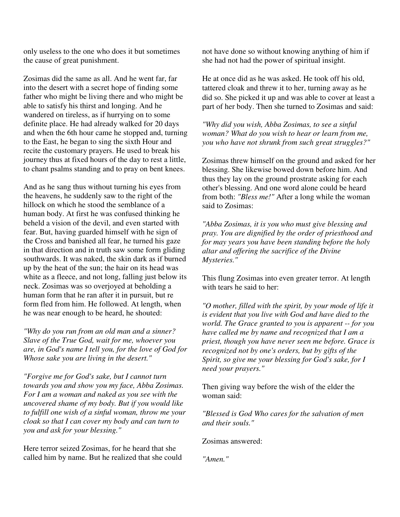only useless to the one who does it but sometimes the cause of great punishment.

Zosimas did the same as all. And he went far, far into the desert with a secret hope of finding some father who might be living there and who might be able to satisfy his thirst and longing. And he wandered on tireless, as if hurrying on to some definite place. He had already walked for 20 days and when the 6th hour came he stopped and, turning to the East, he began to sing the sixth Hour and recite the customary prayers. He used to break his journey thus at fixed hours of the day to rest a little, to chant psalms standing and to pray on bent knees.

And as he sang thus without turning his eyes from the heavens, he suddenly saw to the right of the hillock on which he stood the semblance of a human body. At first he was confused thinking he beheld a vision of the devil, and even started with fear. But, having guarded himself with he sign of the Cross and banished all fear, he turned his gaze in that direction and in truth saw some form gliding southwards. It was naked, the skin dark as if burned up by the heat of the sun; the hair on its head was white as a fleece, and not long, falling just below its neck. Zosimas was so overjoyed at beholding a human form that he ran after it in pursuit, but re form fled from him. He followed. At length, when he was near enough to be heard, he shouted:

*"Why do you run from an old man and a sinner? Slave of the True God, wait for me, whoever you are, in God's name I tell you, for the love of God for Whose sake you are living in the desert."*

*"Forgive me for God's sake, but I cannot turn towards you and show you my face, Abba Zosimas. For I am a woman and naked as you see with the uncovered shame of my body. But if you would like to fulfill one wish of a sinful woman, throw me your cloak so that I can cover my body and can turn to you and ask for your blessing."*

Here terror seized Zosimas, for he heard that she called him by name. But he realized that she could not have done so without knowing anything of him if she had not had the power of spiritual insight.

He at once did as he was asked. He took off his old, tattered cloak and threw it to her, turning away as he did so. She picked it up and was able to cover at least a part of her body. Then she turned to Zosimas and said:

*"Why did you wish, Abba Zosimas, to see a sinful woman? What do you wish to hear or learn from me, you who have not shrunk from such great struggles?"*

Zosimas threw himself on the ground and asked for her blessing. She likewise bowed down before him. And thus they lay on the ground prostrate asking for each other's blessing. And one word alone could be heard from both: *"Bless me!"* After a long while the woman said to Zosimas:

*"Abba Zosimas, it is you who must give blessing and pray. You are dignified by the order of priesthood and for may years you have been standing before the holy altar and offering the sacrifice of the Divine Mysteries."*

This flung Zosimas into even greater terror. At length with tears he said to her:

*"O mother, filled with the spirit, by your mode of life it is evident that you live with God and have died to the world. The Grace granted to you is apparent -- for you have called me by name and recognized that I am a priest, though you have never seen me before. Grace is recognized not by one's orders, but by gifts of the Spirit, so give me your blessing for God's sake, for I need your prayers."*

Then giving way before the wish of the elder the woman said:

*"Blessed is God Who cares for the salvation of men and their souls."*

Zosimas answered:

*"Amen."*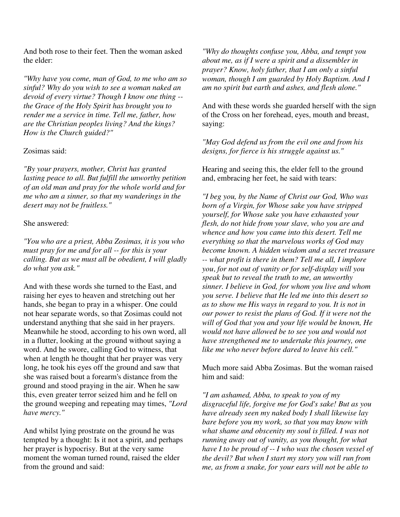And both rose to their feet. Then the woman asked the elder:

*"Why have you come, man of God, to me who am so sinful? Why do you wish to see a woman naked an devoid of every virtue? Though I know one thing - the Grace of the Holy Spirit has brought you to render me a service in time. Tell me, father, how are the Christian peoples living? And the kings? How is the Church guided?"*

# Zosimas said:

*"By your prayers, mother, Christ has granted lasting peace to all. But fulfill the unworthy petition of an old man and pray for the whole world and for me who am a sinner, so that my wanderings in the desert may not be fruitless."*

## She answered:

*"You who are a priest, Abba Zosimas, it is you who must pray for me and for all -- for this is your calling. But as we must all be obedient, I will gladly do what you ask."*

And with these words she turned to the East, and raising her eyes to heaven and stretching out her hands, she began to pray in a whisper. One could not hear separate words, so that Zosimas could not understand anything that she said in her prayers. Meanwhile he stood, according to his own word, all in a flutter, looking at the ground without saying a word. And he swore, calling God to witness, that when at length he thought that her prayer was very long, he took his eyes off the ground and saw that she was raised bout a forearm's distance from the ground and stood praying in the air. When he saw this, even greater terror seized him and he fell on the ground weeping and repeating may times, *"Lord have mercy."*

And whilst lying prostrate on the ground he was tempted by a thought: Is it not a spirit, and perhaps her prayer is hypocrisy. But at the very same moment the woman turned round, raised the elder from the ground and said:

*"Why do thoughts confuse you, Abba, and tempt you about me, as if I were a spirit and a dissembler in prayer? Know, holy father, that I am only a sinful woman, though I am guarded by Holy Baptism. And I am no spirit but earth and ashes, and flesh alone."*

And with these words she guarded herself with the sign of the Cross on her forehead, eyes, mouth and breast, saying:

*"May God defend us from the evil one and from his designs, for fierce is his struggle against us."*

Hearing and seeing this, the elder fell to the ground and, embracing her feet, he said with tears:

*"I beg you, by the Name of Christ our God, Who was born of a Virgin, for Whose sake you have stripped yourself, for Whose sake you have exhausted your flesh, do not hide from your slave, who you are and whence and how you came into this desert. Tell me everything so that the marvelous works of God may become known. A hidden wisdom and a secret treasure -- what profit is there in them? Tell me all, I implore you, for not out of vanity or for self-display will you speak but to reveal the truth to me, an unworthy sinner. I believe in God, for whom you live and whom you serve. I believe that He led me into this desert so as to show me His ways in regard to you. It is not in our power to resist the plans of God. If it were not the will of God that you and your life would be known, He would not have allowed be to see you and would not have strengthened me to undertake this journey, one like me who never before dared to leave his cell."*

Much more said Abba Zosimas. But the woman raised him and said:

*"I am ashamed, Abba, to speak to you of my disgraceful life, forgive me for God's sake! But as you have already seen my naked body I shall likewise lay bare before you my work, so that you may know with what shame and obscenity my soul is filled. I was not running away out of vanity, as you thought, for what have I to be proud of -- I who was the chosen vessel of the devil? But when I start my story you will run from me, as from a snake, for your ears will not be able to*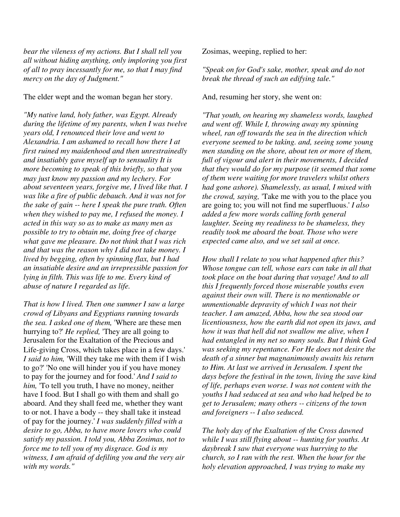*bear the vileness of my actions. But I shall tell you all without hiding anything, only imploring you first of all to pray incessantly for me, so that I may find mercy on the day of Judgment."*

The elder wept and the woman began her story.

*"My native land, holy father, was Egypt. Already during the lifetime of my parents, when I was twelve years old, I renounced their love and went to Alexandria. I am ashamed to recall how there I at first ruined my maidenhood and then unrestrainedly and insatiably gave myself up to sensuality It is more becoming to speak of this briefly, so that you may just know my passion and my lechery. For about seventeen years, forgive me, I lived like that. I was like a fire of public debauch. And it was not for the sake of gain -- here I speak the pure truth. Often when they wished to pay me, I refused the money. I acted in this way so as to make as many men as possible to try to obtain me, doing free of charge what gave me pleasure. Do not think that I was rich and that was the reason why I did not take money. I lived by begging, often by spinning flax, but I had an insatiable desire and an irrepressible passion for lying in filth. This was life to me. Every kind of abuse of nature I regarded as life.* 

*That is how I lived. Then one summer I saw a large crowd of Libyans and Egyptians running towards the sea. I asked one of them,* 'Where are these men hurrying to?' *He replied,* 'They are all going to Jerusalem for the Exaltation of the Precious and Life-giving Cross, which takes place in a few days.' *I said to him,* 'Will they take me with them if I wish to go?' 'No one will hinder you if you have money to pay for the journey and for food.' *And I said to him,* 'To tell you truth, I have no money, neither have I food. But I shall go with them and shall go aboard. And they shall feed me, whether they want to or not. I have a body -- they shall take it instead of pay for the journey.' *I was suddenly filled with a desire to go, Abba, to have more lovers who could satisfy my passion. I told you, Abba Zosimas, not to force me to tell you of my disgrace. God is my witness, I am afraid of defiling you and the very air with my words."*

Zosimas, weeping, replied to her:

*"Speak on for God's sake, mother, speak and do not break the thread of such an edifying tale."*

And, resuming her story, she went on:

*"That youth, on hearing my shameless words, laughed and went off. While I, throwing away my spinning wheel, ran off towards the sea in the direction which everyone seemed to be taking. and, seeing some young men standing on the shore, about ten or more of them, full of vigour and alert in their movements, I decided that they would do for my purpose (it seemed that some of them were waiting for more travelers whilst others had gone ashore). Shamelessly, as usual, I mixed with the crowd, saying,* 'Take me with you to the place you are going to; you will not find me superfluous.' *I also added a few more words calling forth general laughter. Seeing my readiness to be shameless, they readily took me aboard the boat. Those who were expected came also, and we set sail at once.* 

*How shall I relate to you what happened after this? Whose tongue can tell, whose ears can take in all that took place on the boat during that voyage! And to all this I frequently forced those miserable youths even against their own will. There is no mentionable or unmentionable depravity of which I was not their teacher. I am amazed, Abba, how the sea stood our licentiousness, how the earth did not open its jaws, and how it was that hell did not swallow me alive, when I had entangled in my net so many souls. But I think God was seeking my repentance. For He does not desire the death of a sinner but magnanimously awaits his return to Him. At last we arrived in Jerusalem. I spent the days before the festival in the town, living the save kind of life, perhaps even worse. I was not content with the youths I had seduced at sea and who had helped be to get to Jerusalem; many others -- citizens of the town and foreigners -- I also seduced.* 

*The holy day of the Exaltation of the Cross dawned while I was still flying about -- hunting for youths. At daybreak I saw that everyone was hurrying to the church, so I ran with the rest. When the hour for the holy elevation approached, I was trying to make my*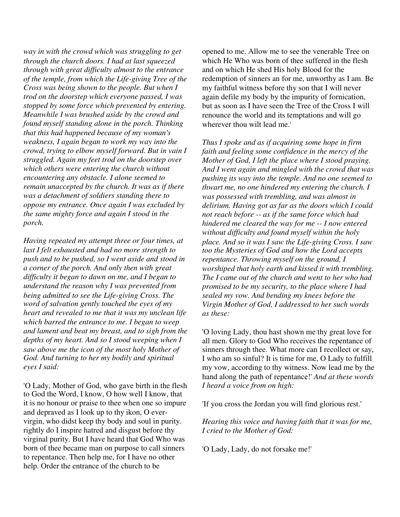*way in with the crowd which was struggling to get through the church doors. I had at last squeezed through with great difficulty almost to the entrance of the temple, from which the Life-giving Tree of the Cross was being shown to the people. But when I trod on the doorstep which everyone passed, I was stopped by some force which prevented by entering. Meanwhile I was brushed aside by the crowd and found myself standing alone in the porch. Thinking that this had happened because of my woman's weakness, I again began to work my way into the crowd, trying to elbow myself forward. But in vain I struggled. Again my feet trod on the doorstep over which others were entering the church without encountering any obstacle. I alone seemed to remain unaccepted by the church. It was as if there was a detachment of soldiers standing there to oppose my entrance. Once again I was excluded by the same mighty force and again I stood in the porch.* 

*Having repeated my attempt three or four times, at last I felt exhausted and had no more strength to push and to be pushed, so I went aside and stood in a corner of the porch. And only then with great difficulty it began to dawn on me, and I began to understand the reason why I was prevented from being admitted to see the Life-giving Cross. The word of salvation gently touched the eyes of my heart and revealed to me that it was my unclean life which barred the entrance to me. I began to weep and lament and beat my breast, and to sigh from the depths of my heart. And so I stood weeping when I saw above me the icon of the most holy Mother of God. And turning to her my bodily and spiritual eyes I said:* 

'O Lady, Mother of God, who gave birth in the flesh to God the Word, I know, O how well I know, that it is no honour or praise to thee when one so impure and depraved as I look up to thy ikon, O evervirgin, who didst keep thy body and soul in purity. rightly do I inspire hatred and disgust before thy virginal purity. But I have heard that God Who was born of thee became man on purpose to call sinners to repentance. Then help me, for I have no other help. Order the entrance of the church to be

opened to me. Allow me to see the venerable Tree on which He Who was born of thee suffered in the flesh and on which He shed His holy Blood for the redemption of sinners an for me, unworthy as I am. Be my faithful witness before thy son that I will never again defile my body by the impurity of fornication, but as soon as I have seen the Tree of the Cross I will renounce the world and its temptations and will go wherever thou wilt lead me.'

*Thus I spoke and as if acquiring some hope in firm faith and feeling some confidence in the mercy of the Mother of God, I left the place where I stood praying. And I went again and mingled with the crowd that was pushing its way into the temple. And no one seemed to thwart me, no one hindered my entering the church. I was possessed with trembling, and was almost in delirium. Having got as far as the doors which I could not reach before -- as if the same force which had hindered me cleared the way for me -- I now entered without difficulty and found myself within the holy place. And so it was I saw the Life-giving Cross. I saw too the Mysteries of God and how the Lord accepts repentance. Throwing myself on the ground, I worshiped that holy earth and kissed it with trembling. The I came out of the church and went to her who had promised to be my security, to the place where I had sealed my vow. And bending my knees before the Virgin Mother of God, I addressed to her such words as these:* 

'O loving Lady, thou hast shown me thy great love for all men. Glory to God Who receives the repentance of sinners through thee. What more can I recollect or say, I who am so sinful? It is time for me, O Lady to fulfill my vow, according to thy witness. Now lead me by the hand along the path of repentance!' *And at these words I heard a voice from on high:* 

'If you cross the Jordan you will find glorious rest.'

*Hearing this voice and having faith that it was for me, I cried to the Mother of God:* 

'O Lady, Lady, do not forsake me!'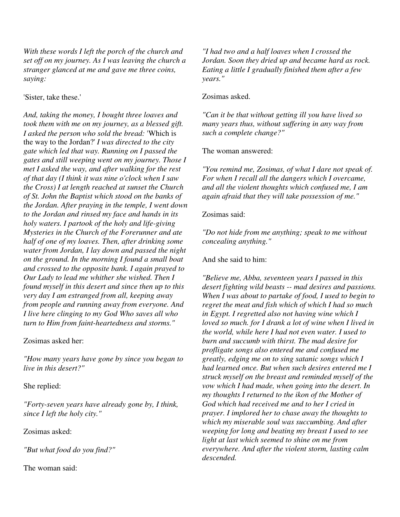*With these words I left the porch of the church and set off on my journey. As I was leaving the church a stranger glanced at me and gave me three coins, saying:* 

### 'Sister, take these.'

*And, taking the money, I bought three loaves and took them with me on my journey, as a blessed gift. I asked the person who sold the bread:* 'Which is the way to the Jordan?' *I was directed to the city gate which led that way. Running on I passed the gates and still weeping went on my journey. Those I met I asked the way, and after walking for the rest of that day (I think it was nine o'clock when I saw the Cross) I at length reached at sunset the Church of St. John the Baptist which stood on the banks of the Jordan. After praying in the temple, I went down to the Jordan and rinsed my face and hands in its holy waters. I partook of the holy and life-giving Mysteries in the Church of the Forerunner and ate half of one of my loaves. Then, after drinking some water from Jordan, I lay down and passed the night on the ground. In the morning I found a small boat and crossed to the opposite bank. I again prayed to Our Lady to lead me whither she wished. Then I found myself in this desert and since then up to this very day I am estranged from all, keeping away from people and running away from everyone. And I live here clinging to my God Who saves all who turn to Him from faint-heartedness and storms."*

## Zosimas asked her:

*"How many years have gone by since you began to live in this desert?"*

## She replied:

*"Forty-seven years have already gone by, I think, since I left the holy city."*

Zosimas asked:

*"But what food do you find?"*

The woman said:

*"I had two and a half loaves when I crossed the Jordan. Soon they dried up and became hard as rock. Eating a little I gradually finished them after a few years."*

### Zosimas asked.

*"Can it be that without getting ill you have lived so many years thus, without suffering in any way from such a complete change?"*

The woman answered:

*"You remind me, Zosimas, of what I dare not speak of. For when I recall all the dangers which I overcame, and all the violent thoughts which confused me, I am again afraid that they will take possession of me."*

#### Zosimas said:

*"Do not hide from me anything; speak to me without concealing anything."*

### And she said to him:

*"Believe me, Abba, seventeen years I passed in this desert fighting wild beasts -- mad desires and passions. When I was about to partake of food, I used to begin to regret the meat and fish which of which I had so much in Egypt. I regretted also not having wine which I loved so much. for I drank a lot of wine when I lived in the world, while here I had not even water. I used to burn and succumb with thirst. The mad desire for profligate songs also entered me and confused me greatly, edging me on to sing satanic songs which I had learned once. But when such desires entered me I struck myself on the breast and reminded myself of the vow which I had made, when going into the desert. In my thoughts I returned to the ikon of the Mother of God which had received me and to her I cried in prayer. I implored her to chase away the thoughts to which my miserable soul was succumbing. And after weeping for long and beating my breast I used to see light at last which seemed to shine on me from everywhere. And after the violent storm, lasting calm descended.*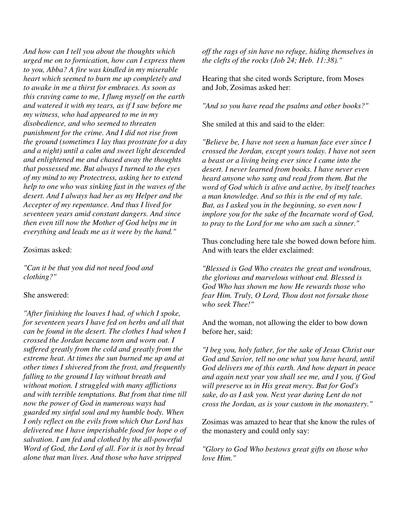*And how can I tell you about the thoughts which urged me on to fornication, how can I express them to you, Abba? A fire was kindled in my miserable heart which seemed to burn me up completely and to awake in me a thirst for embraces. As soon as this craving came to me, I flung myself on the earth and watered it with my tears, as if I saw before me my witness, who had appeared to me in my disobedience, and who seemed to threaten punishment for the crime. And I did not rise from the ground (sometimes I lay thus prostrate for a day and a night) until a calm and sweet light descended and enlightened me and chased away the thoughts that possessed me. But always I turned to the eyes of my mind to my Protectress, asking her to extend help to one who was sinking fast in the waves of the desert. And I always had her as my Helper and the Accepter of my repentance. And thus I lived for seventeen years amid constant dangers. And since then even till now the Mother of God helps me in everything and leads me as it were by the hand."*

#### Zosimas asked:

*"Can it be that you did not need food and clothing?"*

#### She answered:

*"After finishing the loaves I had, of which I spoke, for seventeen years I have fed on herbs and all that can be found in the desert. The clothes I had when I crossed the Jordan became torn and worn out. I suffered greatly from the cold and greatly from the extreme heat. At times the sun burned me up and at other times I shivered from the frost, and frequently falling to the ground I lay without breath and without motion. I struggled with many afflictions and with terrible temptations. But from that time till now the power of God in numerous ways had guarded my sinful soul and my humble body. When I only reflect on the evils from which Our Lord has delivered me I have imperishable food for hope o of salvation. I am fed and clothed by the all-powerful Word of God, the Lord of all. For it is not by bread alone that man lives. And those who have stripped* 

*off the rags of sin have no refuge, hiding themselves in the clefts of the rocks (Job 24; Heb. 11:38)."*

Hearing that she cited words Scripture, from Moses and Job, Zosimas asked her:

*"And so you have read the psalms and other books?"*

She smiled at this and said to the elder:

*"Believe be, I have not seen a human face ever since I crossed the Jordan, except yours today. I have not seen a beast or a living being ever since I came into the desert. I never learned from books. I have never even heard anyone who sang and read from them. But the word of God which is alive and active, by itself teaches a man knowledge. And so this is the end of my tale. But, as I asked you in the beginning, so even now I implore you for the sake of the Incarnate word of God, to pray to the Lord for me who am such a sinner."*

Thus concluding here tale she bowed down before him. And with tears the elder exclaimed:

*"Blessed is God Who creates the great and wondrous, the glorious and marvelous without end. Blessed is God Who has shown me how He rewards those who fear Him. Truly, O Lord, Thou dost not forsake those who seek Thee!"*

And the woman, not allowing the elder to bow down before her, said:

*"I beg you, holy father, for the sake of Jesus Christ our God and Savior, tell no one what you have heard, until God delivers me of this earth. And how depart in peace and again next year you shall see me, and I you, if God will preserve us in His great mercy. But for God's sake, do as I ask you. Next year during Lent do not cross the Jordan, as is your custom in the monastery."*

Zosimas was amazed to hear that she know the rules of the monastery and could only say:

*"Glory to God Who bestows great gifts on those who love Him."*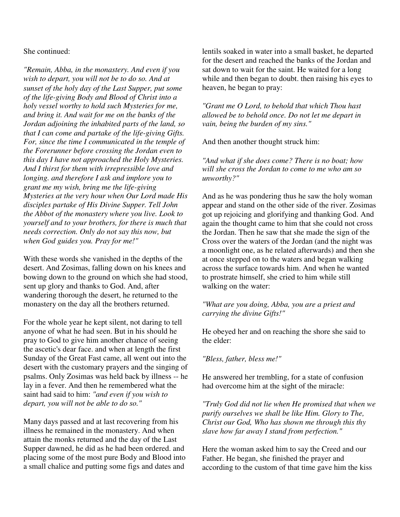#### She continued:

*"Remain, Abba, in the monastery. And even if you wish to depart, you will not be to do so. And at sunset of the holy day of the Last Supper, put some of the life-giving Body and Blood of Christ into a holy vessel worthy to hold such Mysteries for me, and bring it. And wait for me on the banks of the Jordan adjoining the inhabited parts of the land, so that I can come and partake of the life-giving Gifts. For, since the time I communicated in the temple of the Forerunner before crossing the Jordan even to this day I have not approached the Holy Mysteries. And I thirst for them with irrepressible love and longing. and therefore I ask and implore you to grant me my wish, bring me the life-giving Mysteries at the very hour when Our Lord made His disciples partake of His Divine Supper. Tell John the Abbot of the monastery where you live. Look to yourself and to your brothers, for there is much that needs correction. Only do not say this now, but when God guides you. Pray for me!"*

With these words she vanished in the depths of the desert. And Zosimas, falling down on his knees and bowing down to the ground on which she had stood, sent up glory and thanks to God. And, after wandering thorough the desert, he returned to the monastery on the day all the brothers returned.

For the whole year he kept silent, not daring to tell anyone of what he had seen. But in his should he pray to God to give him another chance of seeing the ascetic's dear face. and when at length the first Sunday of the Great Fast came, all went out into the desert with the customary prayers and the singing of psalms. Only Zosimas was held back by illness -- he lay in a fever. And then he remembered what the saint had said to him: *"and even if you wish to depart, you will not be able to do so."*

Many days passed and at last recovering from his illness he remained in the monastery. And when attain the monks returned and the day of the Last Supper dawned, he did as he had been ordered. and placing some of the most pure Body and Blood into a small chalice and putting some figs and dates and

lentils soaked in water into a small basket, he departed for the desert and reached the banks of the Jordan and sat down to wait for the saint. He waited for a long while and then began to doubt. then raising his eyes to heaven, he began to pray:

*"Grant me O Lord, to behold that which Thou hast allowed be to behold once. Do not let me depart in vain, being the burden of my sins."*

And then another thought struck him:

*"And what if she does come? There is no boat; how will she cross the Jordan to come to me who am so unworthy?"*

And as he was pondering thus he saw the holy woman appear and stand on the other side of the river. Zosimas got up rejoicing and glorifying and thanking God. And again the thought came to him that she could not cross the Jordan. Then he saw that she made the sign of the Cross over the waters of the Jordan (and the night was a moonlight one, as he related afterwards) and then she at once stepped on to the waters and began walking across the surface towards him. And when he wanted to prostrate himself, she cried to him while still walking on the water:

*"What are you doing, Abba, you are a priest and carrying the divine Gifts!"*

He obeyed her and on reaching the shore she said to the elder:

*"Bless, father, bless me!"*

He answered her trembling, for a state of confusion had overcome him at the sight of the miracle:

*"Truly God did not lie when He promised that when we purify ourselves we shall be like Him. Glory to The, Christ our God, Who has shown me through this thy slave how far away I stand from perfection."*

Here the woman asked him to say the Creed and our Father. He began, she finished the prayer and according to the custom of that time gave him the kiss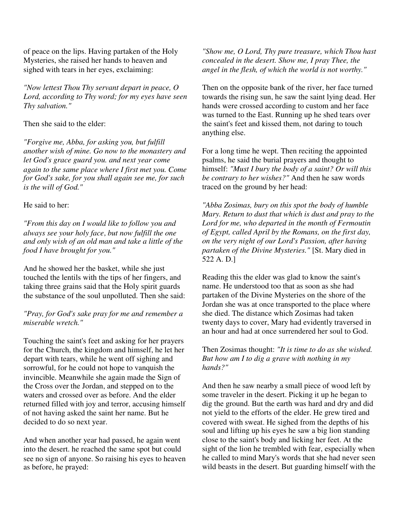of peace on the lips. Having partaken of the Holy Mysteries, she raised her hands to heaven and sighed with tears in her eyes, exclaiming:

*"Now lettest Thou Thy servant depart in peace, O Lord, according to Thy word; for my eyes have seen Thy salvation."*

Then she said to the elder:

*"Forgive me, Abba, for asking you, but fulfill another wish of mine. Go now to the monastery and let God's grace guard you. and next year come again to the same place where I first met you. Come for God's sake, for you shall again see me, for such is the will of God."*

# He said to her:

*"From this day on I would like to follow you and always see your holy face, but now fulfill the one and only wish of an old man and take a little of the food I have brought for you."*

And he showed her the basket, while she just touched the lentils with the tips of her fingers, and taking three grains said that the Holy spirit guards the substance of the soul unpolluted. Then she said:

# *"Pray, for God's sake pray for me and remember a miserable wretch."*

Touching the saint's feet and asking for her prayers for the Church, the kingdom and himself, he let her depart with tears, while he went off sighing and sorrowful, for he could not hope to vanquish the invincible. Meanwhile she again made the Sign of the Cross over the Jordan, and stepped on to the waters and crossed over as before. And the elder returned filled with joy and terror, accusing himself of not having asked the saint her name. But he decided to do so next year.

And when another year had passed, he again went into the desert. he reached the same spot but could see no sign of anyone. So raising his eyes to heaven as before, he prayed:

*"Show me, O Lord, Thy pure treasure, which Thou hast concealed in the desert. Show me, I pray Thee, the angel in the flesh, of which the world is not worthy."*

Then on the opposite bank of the river, her face turned towards the rising sun, he saw the saint lying dead. Her hands were crossed according to custom and her face was turned to the East. Running up he shed tears over the saint's feet and kissed them, not daring to touch anything else.

For a long time he wept. Then reciting the appointed psalms, he said the burial prayers and thought to himself: *"Must I bury the body of a saint? Or will this be contrary to her wishes?"* And then he saw words traced on the ground by her head:

*"Abba Zosimas, bury on this spot the body of humble Mary. Return to dust that which is dust and pray to the Lord for me, who departed in the month of Fermoutin of Egypt, called April by the Romans, on the first day, on the very night of our Lord's Passion, after having partaken of the Divine Mysteries."* [St. Mary died in 522 A. D.]

Reading this the elder was glad to know the saint's name. He understood too that as soon as she had partaken of the Divine Mysteries on the shore of the Jordan she was at once transported to the place where she died. The distance which Zosimas had taken twenty days to cover, Mary had evidently traversed in an hour and had at once surrendered her soul to God.

# Then Zosimas thought: *"It is time to do as she wished. But how am I to dig a grave with nothing in my hands?"*

And then he saw nearby a small piece of wood left by some traveler in the desert. Picking it up he began to dig the ground. But the earth was hard and dry and did not yield to the efforts of the elder. He grew tired and covered with sweat. He sighed from the depths of his soul and lifting up his eyes he saw a big lion standing close to the saint's body and licking her feet. At the sight of the lion he trembled with fear, especially when he called to mind Mary's words that she had never seen wild beasts in the desert. But guarding himself with the